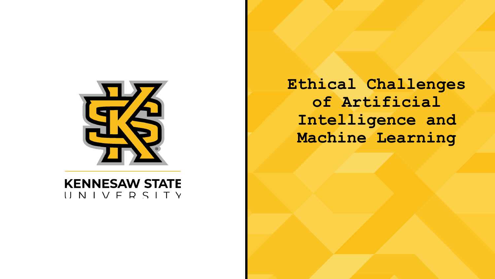

**KENNESAW STATE** UNIVERSITY **Ethical Challenges of Artificial Intelligence and Machine Learning**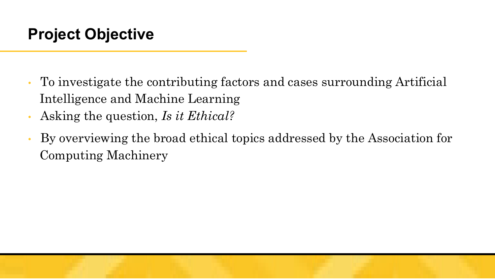- To investigate the contributing factors and cases surrounding Artificial Intelligence and Machine Learning
- Asking the question, *Is it Ethical?*
- By overviewing the broad ethical topics addressed by the Association for Computing Machinery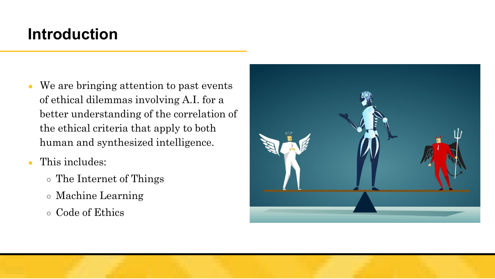### **Introduction**

- We are bringing attention to past events of ethical dilemmas involving A.I. for a better understanding of the correlation of the ethical criteria that apply to both human and synthesized intelligence.
- This includes:
	- The Internet of Things
	- Machine Learning
	- Code of Ethics

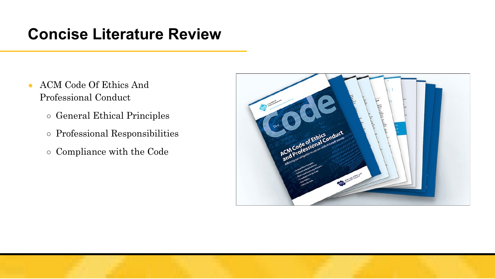### **Concise Literature Review**

- ACM Code Of Ethics And Professional Conduct
	- General Ethical Principles
	- Professional Responsibilities
	- Compliance with the Code

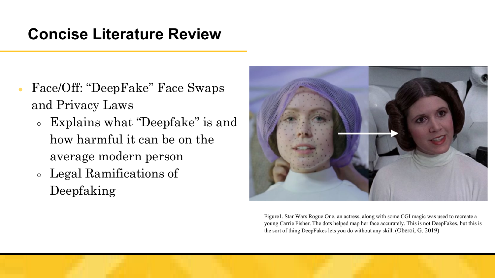### **Concise Literature Review**

- Face/Off: "DeepFake" Face Swaps and Privacy Laws
	- Explains what "Deepfake" is and how harmful it can be on the average modern person
	- Legal Ramifications of Deepfaking



Figure1. Star Wars Rogue One, an actress, along with some CGI magic was used to recreate a young Carrie Fisher. The dots helped map her face accurately. This is not DeepFakes, but this is the sort of thing DeepFakes lets you do without any skill. (Oberoi, G. 2019)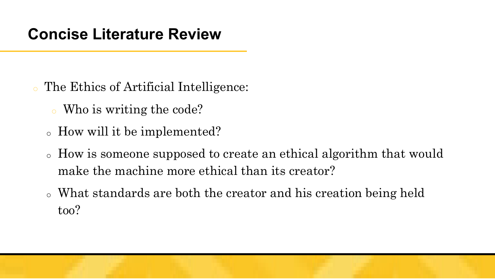- The Ethics of Artificial Intelligence:
	- <sup>o</sup> Who is writing the code?
	- <sup>o</sup> How will it be implemented?
	- <sup>o</sup> How is someone supposed to create an ethical algorithm that would make the machine more ethical than its creator?
	- <sup>o</sup> What standards are both the creator and his creation being held too?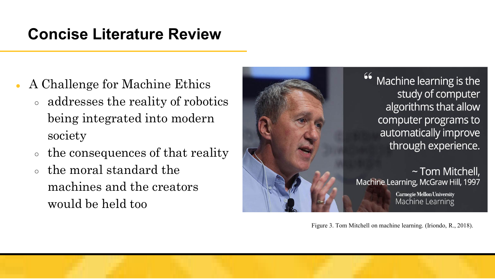### **Concise Literature Review**

- A Challenge for Machine Ethics
	- addresses the reality of robotics being integrated into modern society
	- the consequences of that reality
	- the moral standard the machines and the creators would be held too



Machine learning is the study of computer algorithms that allow computer programs to automatically improve through experience.

 $\sim$  Tom Mitchell, Machine Learning, McGraw Hill, 1997

> **Carnegie Mellon University** Machine Learning

Figure 3. Tom Mitchell on machine learning. (Iriondo, R., 2018).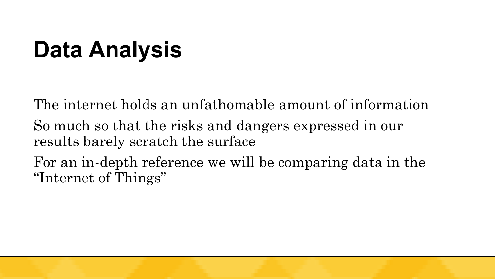# **Data Analysis**

The internet holds an unfathomable amount of information

So much so that the risks and dangers expressed in our results barely scratch the surface

For an in-depth reference we will be comparing data in the "Internet of Things"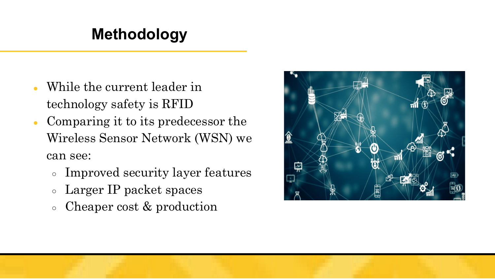- While the current leader in technology safety is RFID
- Comparing it to its predecessor the Wireless Sensor Network (WSN) we can see:
	- Improved security layer features
	- Larger IP packet spaces
	- Cheaper cost & production

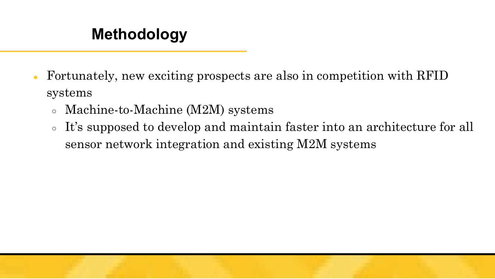- Fortunately, new exciting prospects are also in competition with RFID systems
	- Machine-to-Machine (M2M) systems
	- It's supposed to develop and maintain faster into an architecture for all sensor network integration and existing M2M systems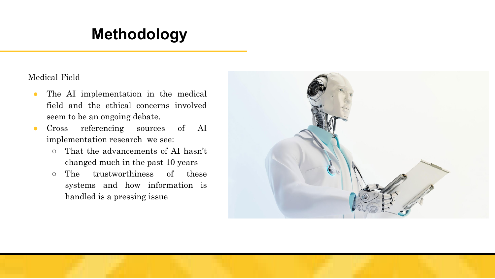Medical Field

- The AI implementation in the medical field and the ethical concerns involved seem to be an ongoing debate.
- Cross referencing sources of AI implementation research we see:
	- That the advancements of AI hasn't changed much in the past 10 years
	- The trustworthiness of these systems and how information is handled is a pressing issue

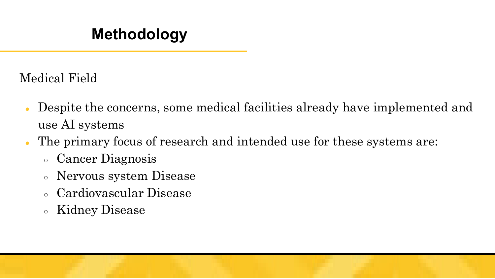Medical Field

- Despite the concerns, some medical facilities already have implemented and use AI systems
- The primary focus of research and intended use for these systems are:
	- Cancer Diagnosis
	- Nervous system Disease
	- Cardiovascular Disease
	- Kidney Disease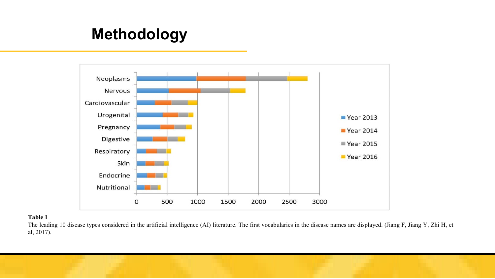

#### **Table 1**

The leading 10 disease types considered in the artificial intelligence (AI) literature. The first vocabularies in the disease names are displayed. (Jiang F, Jiang Y, Zhi H, et al, 2017).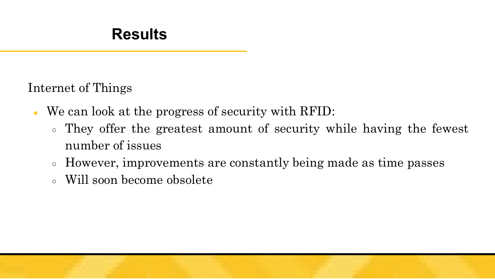Internet of Things

- We can look at the progress of security with RFID:
	- They offer the greatest amount of security while having the fewest number of issues
	- However, improvements are constantly being made as time passes
	- Will soon become obsolete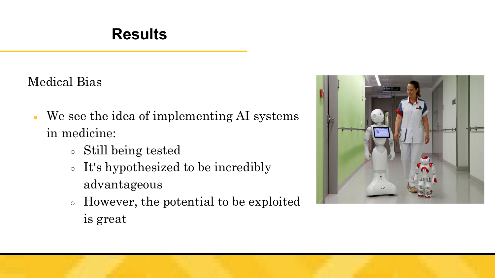Medical Bias

- We see the idea of implementing AI systems in medicine:
	- Still being tested
	- It's hypothesized to be incredibly advantageous
	- However, the potential to be exploited is great

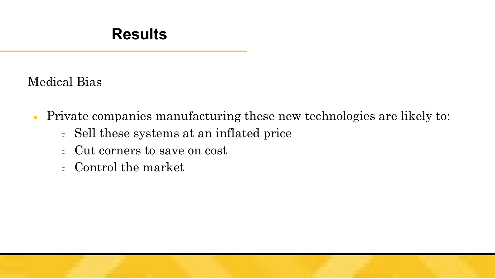Medical Bias

- Private companies manufacturing these new technologies are likely to:
	- Sell these systems at an inflated price
	- Cut corners to save on cost
	- Control the market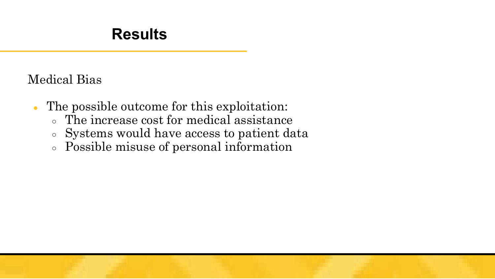### Medical Bias

- The possible outcome for this exploitation:
	- The increase cost for medical assistance
	- Systems would have access to patient data
	- Possible misuse of personal information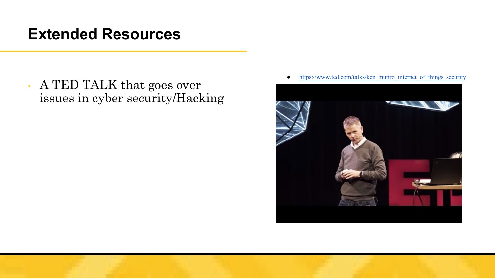### **Extended Resources**

• A TED TALK that goes over issues in cyber security/Hacking



• [https://www.ted.com/talks/ken\\_munro\\_internet\\_of\\_things\\_security](https://www.ted.com/talks/ken_munro_internet_of_things_security)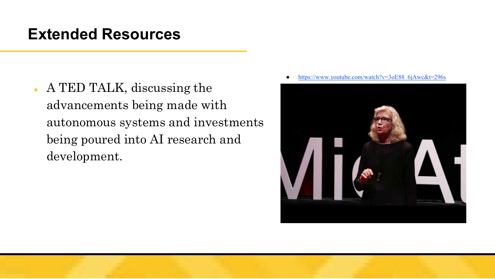### **Extended Resources**

- A TED TALK, discussing the advancements being made with autonomous systems and investments being poured into AI research and development.
- [https://www.youtube.com/watch?v=3oE88\\_6jAwc&t=296s](https://www.youtube.com/watch?v=3oE88_6jAwc&t=296s)